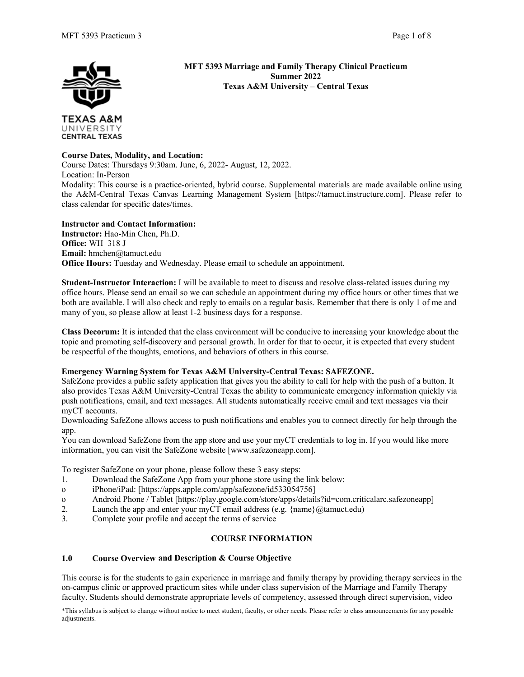

UNIVERSITY **CENTRAL TEXAS**  **MFT 5393 Marriage and Family Therapy Clinical Practicum Summer 2022 Texas A&M University – Central Texas**

# **Course Dates, Modality, and Location:**

Course Dates: Thursdays 9:30am. June, 6, 2022- August, 12, 2022. Location: In-Person Modality: This course is a practice-oriented, hybrid course. Supplemental materials are made available online using the A&M-Central Texas Canvas Learning Management System [https://tamuct.instructure.com]. Please refer to class calendar for specific dates/times.

**Instructor and Contact Information: Instructor:** Hao-Min Chen, Ph.D. **Office:** WH 318 J **Email:** hmchen@tamuct.edu **Office Hours:** Tuesday and Wednesday. Please email to schedule an appointment.

**Student-Instructor Interaction:** I will be available to meet to discuss and resolve class-related issues during my office hours. Please send an email so we can schedule an appointment during my office hours or other times that we both are available. I will also check and reply to emails on a regular basis. Remember that there is only 1 of me and many of you, so please allow at least 1-2 business days for a response.

**Class Decorum:** It is intended that the class environment will be conducive to increasing your knowledge about the topic and promoting self-discovery and personal growth. In order for that to occur, it is expected that every student be respectful of the thoughts, emotions, and behaviors of others in this course.

# **Emergency Warning System for Texas A&M University-Central Texas: SAFEZONE.**

SafeZone provides a public safety application that gives you the ability to call for help with the push of a button. It also provides Texas A&M University-Central Texas the ability to communicate emergency information quickly via push notifications, email, and text messages. All students automatically receive email and text messages via their myCT accounts.

Downloading SafeZone allows access to push notifications and enables you to connect directly for help through the app.

You can download SafeZone from the app store and use your myCT credentials to log in. If you would like more information, you can visit the SafeZone website [www.safezoneapp.com].

To register SafeZone on your phone, please follow these 3 easy steps:

- 1. Download the SafeZone App from your phone store using the link below:
- o iPhone/iPad: [https://apps.apple.com/app/safezone/id533054756]
- o Android Phone / Tablet [https://play.google.com/store/apps/details?id=com.criticalarc.safezoneapp]<br>
2 Launch the app and enter your myCT email address (e.g. {name}@tamuct edu}
- Launch the app and enter your myCT email address (e.g.  $\{name\}@t$ amuct.edu)
- 3. Complete your profile and accept the terms of service

# **COURSE INFORMATION**

# **1.0 Course Overview and Description & Course Objective**

This course is for the students to gain experience in marriage and family therapy by providing therapy services in the on-campus clinic or approved practicum sites while under class supervision of the Marriage and Family Therapy faculty. Students should demonstrate appropriate levels of competency, assessed through direct supervision, video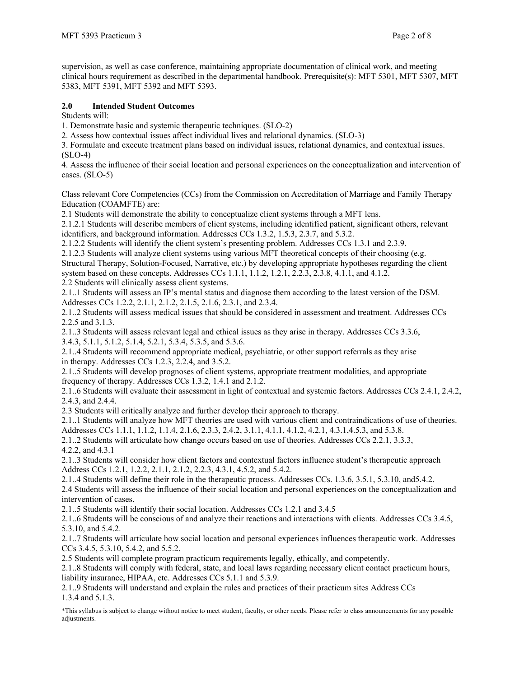supervision, as well as case conference, maintaining appropriate documentation of clinical work, and meeting clinical hours requirement as described in the departmental handbook. Prerequisite(s): MFT 5301, MFT 5307, MFT 5383, MFT 5391, MFT 5392 and MFT 5393.

# **2.0 Intended Student Outcomes**

Students will:

1. Demonstrate basic and systemic therapeutic techniques. (SLO-2)

2. Assess how contextual issues affect individual lives and relational dynamics. (SLO-3)

3. Formulate and execute treatment plans based on individual issues, relational dynamics, and contextual issues.  $(SLO-4)$ 

4. Assess the influence of their social location and personal experiences on the conceptualization and intervention of cases. (SLO-5)

Class relevant Core Competencies (CCs) from the Commission on Accreditation of Marriage and Family Therapy Education (COAMFTE) are:

2.1 Students will demonstrate the ability to conceptualize client systems through a MFT lens.

2.1.2.1 Students will describe members of client systems, including identified patient, significant others, relevant identifiers, and background information. Addresses CCs 1.3.2, 1.5.3, 2.3.7, and 5.3.2.

2.1.2.2 Students will identify the client system's presenting problem. Addresses CCs 1.3.1 and 2.3.9.

2.1.2.3 Students will analyze client systems using various MFT theoretical concepts of their choosing (e.g. Structural Therapy, Solution-Focused, Narrative, etc.) by developing appropriate hypotheses regarding the client system based on these concepts. Addresses CCs 1.1.1, 1.1.2, 1.2.1, 2.2.3, 2.3.8, 4.1.1, and 4.1.2. 2.2 Students will clinically assess client systems.

2.1..1 Students will assess an IP's mental status and diagnose them according to the latest version of the DSM. Addresses CCs 1.2.2, 2.1.1, 2.1.2, 2.1.5, 2.1.6, 2.3.1, and 2.3.4.

2.1..2 Students will assess medical issues that should be considered in assessment and treatment. Addresses CCs 2.2.5 and 3.1.3.

2.1..3 Students will assess relevant legal and ethical issues as they arise in therapy. Addresses CCs 3.3.6, 3.4.3, 5.1.1, 5.1.2, 5.1.4, 5.2.1, 5.3.4, 5.3.5, and 5.3.6.

2.1..4 Students will recommend appropriate medical, psychiatric, or other support referrals as they arise in therapy. Addresses CCs 1.2.3, 2.2.4, and 3.5.2.

2.1..5 Students will develop prognoses of client systems, appropriate treatment modalities, and appropriate frequency of therapy. Addresses CCs 1.3.2, 1.4.1 and 2.1.2.

2.1..6 Students will evaluate their assessment in light of contextual and systemic factors. Addresses CCs 2.4.1, 2.4.2, 2.4.3, and 2.4.4.

2.3 Students will critically analyze and further develop their approach to therapy.

2.1..1 Students will analyze how MFT theories are used with various client and contraindications of use of theories.

Addresses CCs 1.1.1, 1.1.2, 1.1.4, 2.1.6, 2.3.3, 2.4.2, 3.1.1, 4.1.1, 4.1.2, 4.2.1, 4.3.1,4.5.3, and 5.3.8.

2.1..2 Students will articulate how change occurs based on use of theories. Addresses CCs 2.2.1, 3.3.3, 4.2.2, and 4.3.1

2.1..3 Students will consider how client factors and contextual factors influence student's therapeutic approach Address CCs 1.2.1, 1.2.2, 2.1.1, 2.1.2, 2.2.3, 4.3.1, 4.5.2, and 5.4.2.

2.1..4 Students will define their role in the therapeutic process. Addresses CCs. 1.3.6, 3.5.1, 5.3.10, and5.4.2. 2.4 Students will assess the influence of their social location and personal experiences on the conceptualization and intervention of cases.

2.1..5 Students will identify their social location. Addresses CCs 1.2.1 and 3.4.5

2.1..6 Students will be conscious of and analyze their reactions and interactions with clients. Addresses CCs 3.4.5, 5.3.10, and 5.4.2.

2.1..7 Students will articulate how social location and personal experiences influences therapeutic work. Addresses CCs 3.4.5, 5.3.10, 5.4.2, and 5.5.2.

2.5 Students will complete program practicum requirements legally, ethically, and competently.

2.1..8 Students will comply with federal, state, and local laws regarding necessary client contact practicum hours, liability insurance, HIPAA, etc. Addresses CCs 5.1.1 and 5.3.9.

2.1..9 Students will understand and explain the rules and practices of their practicum sites Address CCs 1.3.4 and 5.1.3.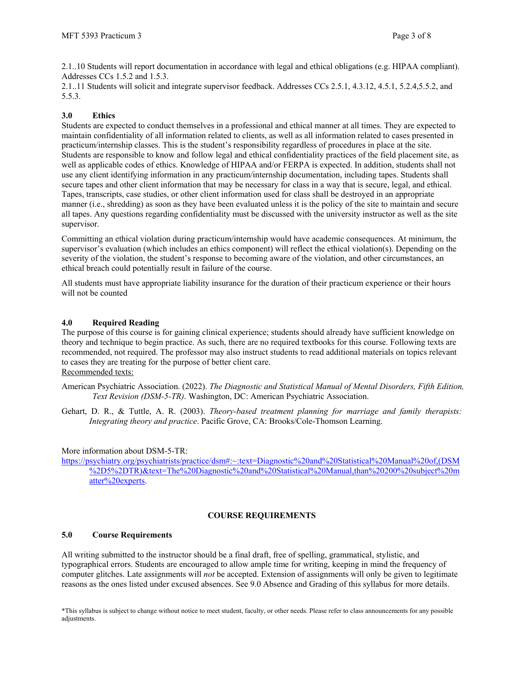2.1..10 Students will report documentation in accordance with legal and ethical obligations (e.g. HIPAA compliant). Addresses CCs 1.5.2 and 1.5.3.

2.1..11 Students will solicit and integrate supervisor feedback. Addresses CCs 2.5.1, 4.3.12, 4.5.1, 5.2.4,5.5.2, and 5.5.3.

# **3.0 Ethics**

Students are expected to conduct themselves in a professional and ethical manner at all times. They are expected to maintain confidentiality of all information related to clients, as well as all information related to cases presented in practicum/internship classes. This is the student's responsibility regardless of procedures in place at the site. Students are responsible to know and follow legal and ethical confidentiality practices of the field placement site, as well as applicable codes of ethics. Knowledge of HIPAA and/or FERPA is expected. In addition, students shall not use any client identifying information in any practicum/internship documentation, including tapes. Students shall secure tapes and other client information that may be necessary for class in a way that is secure, legal, and ethical. Tapes, transcripts, case studies, or other client information used for class shall be destroyed in an appropriate manner (i.e., shredding) as soon as they have been evaluated unless it is the policy of the site to maintain and secure all tapes. Any questions regarding confidentiality must be discussed with the university instructor as well as the site supervisor.

Committing an ethical violation during practicum/internship would have academic consequences. At minimum, the supervisor's evaluation (which includes an ethics component) will reflect the ethical violation(s). Depending on the severity of the violation, the student's response to becoming aware of the violation, and other circumstances, an ethical breach could potentially result in failure of the course.

All students must have appropriate liability insurance for the duration of their practicum experience or their hours will not be counted

# **4.0 Required Reading**

The purpose of this course is for gaining clinical experience; students should already have sufficient knowledge on theory and technique to begin practice. As such, there are no required textbooks for this course. Following texts are recommended, not required. The professor may also instruct students to read additional materials on topics relevant to cases they are treating for the purpose of better client care. Recommended texts:

American Psychiatric Association. (2022). *The Diagnostic and Statistical Manual of Mental Disorders, Fifth Edition, Text Revision (DSM-5-TR)*. Washington, DC: American Psychiatric Association.

Gehart, D. R., & Tuttle, A. R. (2003). *Theory-based treatment planning for marriage and family therapists: Integrating theory and practice*. Pacific Grove, CA: Brooks/Cole-Thomson Learning.

# More information about DSM-5-TR:

[https://psychiatry.org/psychiatrists/practice/dsm#:~:text=Diagnostic%20and%20Statistical%20Manual%20of,\(DSM](https://psychiatry.org/psychiatrists/practice/dsm#:%7E:text=Diagnostic%20and%20Statistical%20Manual%20of,(DSM%2D5%2DTR)&text=The%20Diagnostic%20and%20Statistical%20Manual,than%20200%20subject%20matter%20experts) [%2D5%2DTR\)&text=The%20Diagnostic%20and%20Statistical%20Manual,than%20200%20subject%20m](https://psychiatry.org/psychiatrists/practice/dsm#:%7E:text=Diagnostic%20and%20Statistical%20Manual%20of,(DSM%2D5%2DTR)&text=The%20Diagnostic%20and%20Statistical%20Manual,than%20200%20subject%20matter%20experts) [atter%20experts.](https://psychiatry.org/psychiatrists/practice/dsm#:%7E:text=Diagnostic%20and%20Statistical%20Manual%20of,(DSM%2D5%2DTR)&text=The%20Diagnostic%20and%20Statistical%20Manual,than%20200%20subject%20matter%20experts)

# **COURSE REQUIREMENTS**

# **5.0 Course Requirements**

All writing submitted to the instructor should be a final draft, free of spelling, grammatical, stylistic, and typographical errors. Students are encouraged to allow ample time for writing, keeping in mind the frequency of computer glitches. Late assignments will *not* be accepted. Extension of assignments will only be given to legitimate reasons as the ones listed under excused absences. See 9.0 Absence and Grading of this syllabus for more details.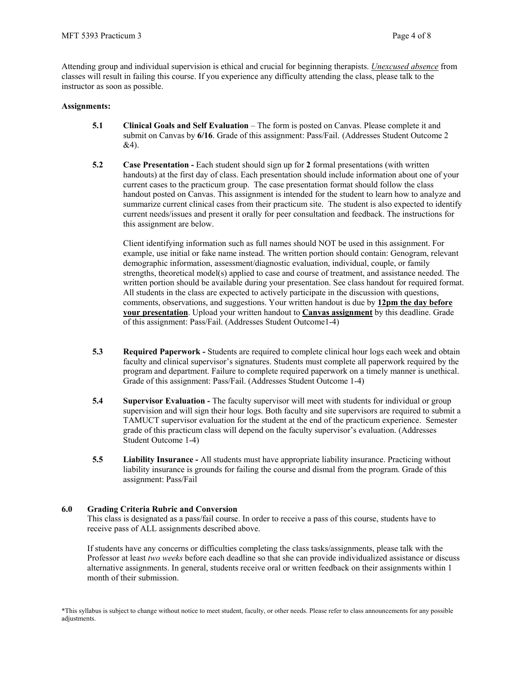Attending group and individual supervision is ethical and crucial for beginning therapists. *Unexcused absence* from classes will result in failing this course. If you experience any difficulty attending the class, please talk to the instructor as soon as possible.

### **Assignments:**

- **5.1 Clinical Goals and Self Evaluation** The form is posted on Canvas. Please complete it and submit on Canvas by **6/16**. Grade of this assignment: Pass/Fail. (Addresses Student Outcome 2 &4).
- **5.2 Case Presentation -** Each student should sign up for **2** formal presentations (with written handouts) at the first day of class. Each presentation should include information about one of your current cases to the practicum group. The case presentation format should follow the class handout posted on Canvas. This assignment is intended for the student to learn how to analyze and summarize current clinical cases from their practicum site. The student is also expected to identify current needs/issues and present it orally for peer consultation and feedback. The instructions for this assignment are below.

Client identifying information such as full names should NOT be used in this assignment. For example, use initial or fake name instead. The written portion should contain: Genogram, relevant demographic information, assessment/diagnostic evaluation, individual, couple, or family strengths, theoretical model(s) applied to case and course of treatment, and assistance needed. The written portion should be available during your presentation. See class handout for required format. All students in the class are expected to actively participate in the discussion with questions, comments, observations, and suggestions. Your written handout is due by **12pm the day before your presentation**. Upload your written handout to **Canvas assignment** by this deadline. Grade of this assignment: Pass/Fail. (Addresses Student Outcome1-4)

- **5.3 Required Paperwork -** Students are required to complete clinical hour logs each week and obtain faculty and clinical supervisor's signatures. Students must complete all paperwork required by the program and department. Failure to complete required paperwork on a timely manner is unethical. Grade of this assignment: Pass/Fail. (Addresses Student Outcome 1-4)
- **5.4 Supervisor Evaluation -** The faculty supervisor will meet with students for individual or group supervision and will sign their hour logs. Both faculty and site supervisors are required to submit a TAMUCT supervisor evaluation for the student at the end of the practicum experience. Semester grade of this practicum class will depend on the faculty supervisor's evaluation. (Addresses Student Outcome 1-4)
- **5.5 Liability Insurance -** All students must have appropriate liability insurance. Practicing without liability insurance is grounds for failing the course and dismal from the program. Grade of this assignment: Pass/Fail

# **6.0 Grading Criteria Rubric and Conversion**

This class is designated as a pass/fail course. In order to receive a pass of this course, students have to receive pass of ALL assignments described above.

If students have any concerns or difficulties completing the class tasks/assignments, please talk with the Professor at least *two weeks* before each deadline so that she can provide individualized assistance or discuss alternative assignments. In general, students receive oral or written feedback on their assignments within 1 month of their submission.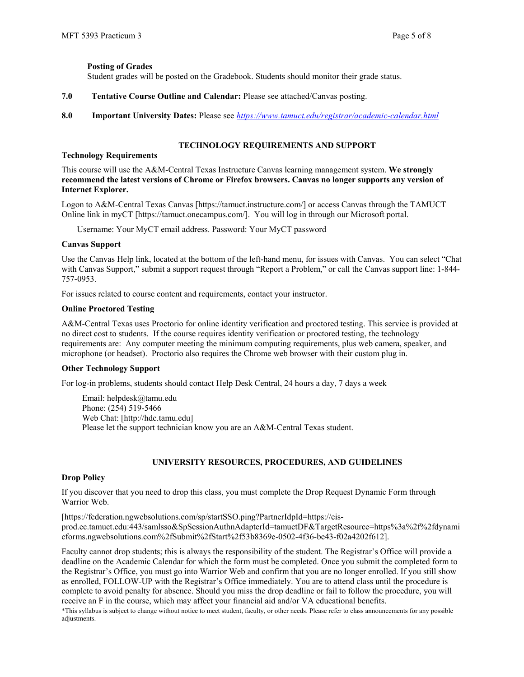# **Posting of Grades**

Student grades will be posted on the Gradebook. Students should monitor their grade status.

- **7.0 Tentative Course Outline and Calendar:** Please see attached/Canvas posting.
- **8.0 Important University Dates:** Please see *<https://www.tamuct.edu/registrar/academic-calendar.html>*

# **TECHNOLOGY REQUIREMENTS AND SUPPORT**

### **Technology Requirements**

This course will use the A&M-Central Texas Instructure Canvas learning management system. **We strongly recommend the latest versions of Chrome or Firefox browsers. Canvas no longer supports any version of Internet Explorer.**

Logon to A&M-Central Texas Canvas [https://tamuct.instructure.com/] or access Canvas through the TAMUCT Online link in myCT [https://tamuct.onecampus.com/]. You will log in through our Microsoft portal.

Username: Your MyCT email address. Password: Your MyCT password

### **Canvas Support**

Use the Canvas Help link, located at the bottom of the left-hand menu, for issues with Canvas. You can select "Chat with Canvas Support," submit a support request through "Report a Problem," or call the Canvas support line: 1-844-757-0953.

For issues related to course content and requirements, contact your instructor.

### **Online Proctored Testing**

A&M-Central Texas uses Proctorio for online identity verification and proctored testing. This service is provided at no direct cost to students. If the course requires identity verification or proctored testing, the technology requirements are: Any computer meeting the minimum computing requirements, plus web camera, speaker, and microphone (or headset). Proctorio also requires the Chrome web browser with their custom plug in.

#### **Other Technology Support**

For log-in problems, students should contact Help Desk Central, 24 hours a day, 7 days a week

Email: helpdesk@tamu.edu Phone: (254) 519-5466 Web Chat: [http://hdc.tamu.edu] Please let the support technician know you are an A&M-Central Texas student.

# **UNIVERSITY RESOURCES, PROCEDURES, AND GUIDELINES**

# **Drop Policy**

If you discover that you need to drop this class, you must complete the Drop Request Dynamic Form through Warrior Web.

[https://federation.ngwebsolutions.com/sp/startSSO.ping?PartnerIdpId=https://eisprod.ec.tamuct.edu:443/samlsso&SpSessionAuthnAdapterId=tamuctDF&TargetResource=https%3a%2f%2fdynami cforms.ngwebsolutions.com%2fSubmit%2fStart%2f53b8369e-0502-4f36-be43-f02a4202f612].

Faculty cannot drop students; this is always the responsibility of the student. The Registrar's Office will provide a deadline on the Academic Calendar for which the form must be completed. Once you submit the completed form to the Registrar's Office, you must go into Warrior Web and confirm that you are no longer enrolled. If you still show as enrolled, FOLLOW-UP with the Registrar's Office immediately. You are to attend class until the procedure is complete to avoid penalty for absence. Should you miss the drop deadline or fail to follow the procedure, you will receive an F in the course, which may affect your financial aid and/or VA educational benefits.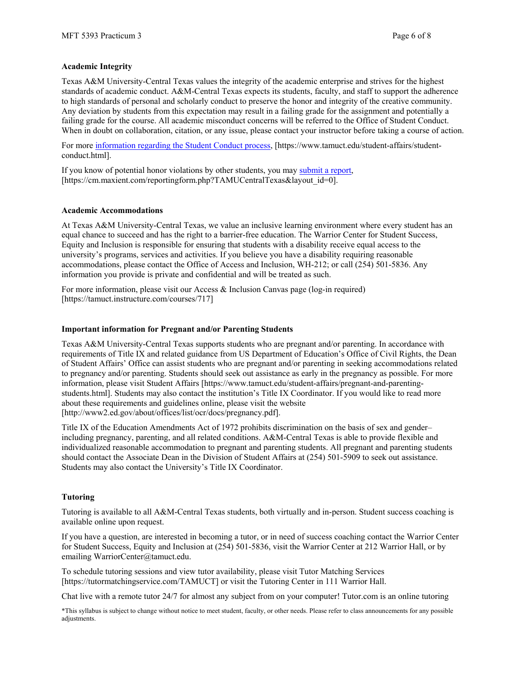### **Academic Integrity**

Texas A&M University-Central Texas values the integrity of the academic enterprise and strives for the highest standards of academic conduct. A&M-Central Texas expects its students, faculty, and staff to support the adherence to high standards of personal and scholarly conduct to preserve the honor and integrity of the creative community. Any deviation by students from this expectation may result in a failing grade for the assignment and potentially a failing grade for the course. All academic misconduct concerns will be referred to the Office of Student Conduct. When in doubt on collaboration, citation, or any issue, please contact your instructor before taking a course of action.

For more [information](https://nam04.safelinks.protection.outlook.com/?url=https%3A%2F%2Fwww.tamuct.edu%2Fstudent-affairs%2Fstudent-conduct.html&data=04%7C01%7Clisa.bunkowski%40tamuct.edu%7Ccfb6e486f24745f53e1a08d910055cb2%7C9eed4e3000f744849ff193ad8005acec%7C0%7C0%7C637558437485252160%7CUnknown%7CTWFpbGZsb3d8eyJWIjoiMC4wLjAwMDAiLCJQIjoiV2luMzIiLCJBTiI6Ik1haWwiLCJXVCI6Mn0%3D%7C1000&sdata=yjftDEVHvLX%2FhM%2FcFU0B99krV1RgEWR%2BJ%2BhvtoR6TYk%3D&reserved=0) regarding the Student Conduct process, [https://www.tamuct.edu/student-affairs/studentconduct.html].

If you know of potential honor violations by other students, you may [submit](https://nam04.safelinks.protection.outlook.com/?url=https%3A%2F%2Fcm.maxient.com%2Freportingform.php%3FTAMUCentralTexas%26layout_id%3D0&data=04%7C01%7Clisa.bunkowski%40tamuct.edu%7Ccfb6e486f24745f53e1a08d910055cb2%7C9eed4e3000f744849ff193ad8005acec%7C0%7C0%7C637558437485262157%7CUnknown%7CTWFpbGZsb3d8eyJWIjoiMC4wLjAwMDAiLCJQIjoiV2luMzIiLCJBTiI6Ik1haWwiLCJXVCI6Mn0%3D%7C1000&sdata=CXGkOa6uPDPX1IMZ87z3aZDq2n91xfHKu4MMS43Ejjk%3D&reserved=0) a report, [https://cm.maxient.com/reportingform.php?TAMUCentralTexas&layout\_id=0].

#### **Academic Accommodations**

At Texas A&M University-Central Texas, we value an inclusive learning environment where every student has an equal chance to succeed and has the right to a barrier-free education. The Warrior Center for Student Success, Equity and Inclusion is responsible for ensuring that students with a disability receive equal access to the university's programs, services and activities. If you believe you have a disability requiring reasonable accommodations, please contact the Office of Access and Inclusion, WH-212; or call (254) 501-5836. Any information you provide is private and confidential and will be treated as such.

For more information, please visit our Access & Inclusion Canvas page (log-in required) [https://tamuct.instructure.com/courses/717]

#### **Important information for Pregnant and/or Parenting Students**

Texas A&M University-Central Texas supports students who are pregnant and/or parenting. In accordance with requirements of Title IX and related guidance from US Department of Education's Office of Civil Rights, the Dean of Student Affairs' Office can assist students who are pregnant and/or parenting in seeking accommodations related to pregnancy and/or parenting. Students should seek out assistance as early in the pregnancy as possible. For more information, please visit Student Affairs [https://www.tamuct.edu/student-affairs/pregnant-and-parentingstudents.html]. Students may also contact the institution's Title IX Coordinator. If you would like to read more about these requirements and guidelines online, please visit the website [http://www2.ed.gov/about/offices/list/ocr/docs/pregnancy.pdf].

Title IX of the Education Amendments Act of 1972 prohibits discrimination on the basis of sex and gender– including pregnancy, parenting, and all related conditions. A&M-Central Texas is able to provide flexible and individualized reasonable accommodation to pregnant and parenting students. All pregnant and parenting students should contact the Associate Dean in the Division of Student Affairs at (254) 501-5909 to seek out assistance. Students may also contact the University's Title IX Coordinator.

#### **Tutoring**

Tutoring is available to all A&M-Central Texas students, both virtually and in-person. Student success coaching is available online upon request.

If you have a question, are interested in becoming a tutor, or in need of success coaching contact the Warrior Center for Student Success, Equity and Inclusion at (254) 501-5836, visit the Warrior Center at 212 Warrior Hall, or by emailing WarriorCenter@tamuct.edu.

To schedule tutoring sessions and view tutor availability, please visit Tutor Matching Services [https://tutormatchingservice.com/TAMUCT] or visit the Tutoring Center in 111 Warrior Hall.

Chat live with a remote tutor 24/7 for almost any subject from on your computer! Tutor.com is an online tutoring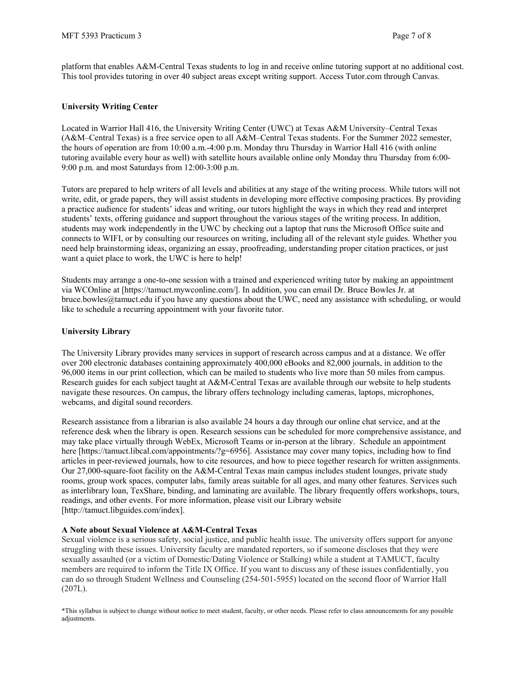platform that enables A&M-Central Texas students to log in and receive online tutoring support at no additional cost. This tool provides tutoring in over 40 subject areas except writing support. Access Tutor.com through Canvas.

# **University Writing Center**

Located in Warrior Hall 416, the University Writing Center (UWC) at Texas A&M University–Central Texas (A&M–Central Texas) is a free service open to all A&M–Central Texas students. For the Summer 2022 semester, the hours of operation are from 10:00 a.m.-4:00 p.m. Monday thru Thursday in Warrior Hall 416 (with online tutoring available every hour as well) with satellite hours available online only Monday thru Thursday from 6:00- 9:00 p.m. and most Saturdays from 12:00-3:00 p.m.

Tutors are prepared to help writers of all levels and abilities at any stage of the writing process. While tutors will not write, edit, or grade papers, they will assist students in developing more effective composing practices. By providing a practice audience for students' ideas and writing, our tutors highlight the ways in which they read and interpret students' texts, offering guidance and support throughout the various stages of the writing process. In addition, students may work independently in the UWC by checking out a laptop that runs the Microsoft Office suite and connects to WIFI, or by consulting our resources on writing, including all of the relevant style guides. Whether you need help brainstorming ideas, organizing an essay, proofreading, understanding proper citation practices, or just want a quiet place to work, the UWC is here to help!

Students may arrange a one-to-one session with a trained and experienced writing tutor by making an appointment via WCOnline at [https://tamuct.mywconline.com/]. In addition, you can email Dr. Bruce Bowles Jr. at bruce.bowles@tamuct.edu if you have any questions about the UWC, need any assistance with scheduling, or would like to schedule a recurring appointment with your favorite tutor.

# **University Library**

The University Library provides many services in support of research across campus and at a distance. We offer over 200 electronic databases containing approximately 400,000 eBooks and 82,000 journals, in addition to the 96,000 items in our print collection, which can be mailed to students who live more than 50 miles from campus. Research guides for each subject taught at A&M-Central Texas are available through our website to help students navigate these resources. On campus, the library offers technology including cameras, laptops, microphones, webcams, and digital sound recorders.

Research assistance from a librarian is also available 24 hours a day through our online chat service, and at the reference desk when the library is open. Research sessions can be scheduled for more comprehensive assistance, and may take place virtually through WebEx, Microsoft Teams or in-person at the library. Schedule an appointment here [https://tamuct.libcal.com/appointments/?g=6956]. Assistance may cover many topics, including how to find articles in peer-reviewed journals, how to cite resources, and how to piece together research for written assignments. Our 27,000-square-foot facility on the A&M-Central Texas main campus includes student lounges, private study rooms, group work spaces, computer labs, family areas suitable for all ages, and many other features. Services such as interlibrary loan, TexShare, binding, and laminating are available. The library frequently offers workshops, tours, readings, and other events. For more information, please visit our Library website [http://tamuct.libguides.com/index].

# **A Note about Sexual Violence at A&M-Central Texas**

Sexual violence is a serious safety, social justice, and public health issue. The university offers support for anyone struggling with these issues. University faculty are mandated reporters, so if someone discloses that they were sexually assaulted (or a victim of Domestic/Dating Violence or Stalking) while a student at TAMUCT, faculty members are required to inform the Title IX Office. If you want to discuss any of these issues confidentially, you can do so through Student Wellness and Counseling (254-501-5955) located on the second floor of Warrior Hall (207L).